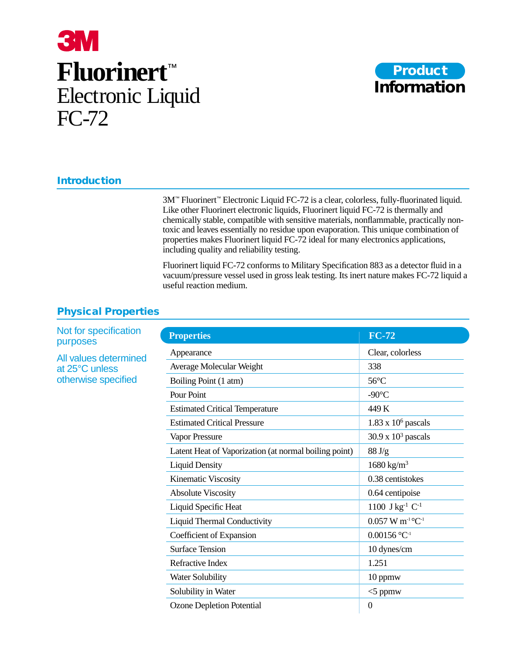# **3M Fluorinert**™ Electronic Liquid FC-72



## **Introduction**

3M™ Fluorinert™ Electronic Liquid FC-72 is a clear, colorless, fully-fluorinated liquid. Like other Fluorinert electronic liquids, Fluorinert liquid FC-72 is thermally and chemically stable, compatible with sensitive materials, nonflammable, practically nontoxic and leaves essentially no residue upon evaporation. This unique combination of properties makes Fluorinert liquid FC-72 ideal for many electronics applications, including quality and reliability testing.

Fluorinert liquid FC-72 conforms to Military Specification 883 as a detector fluid in a vacuum/pressure vessel used in gross leak testing. Its inert nature makes FC-72 liquid a useful reaction medium.

## **Physical Properties**

| <b>Properties</b>                                     | <b>FC-72</b>                              |
|-------------------------------------------------------|-------------------------------------------|
| Appearance                                            | Clear, colorless                          |
| Average Molecular Weight                              | 338                                       |
| Boiling Point (1 atm)                                 | $56^{\circ}$ C                            |
| Pour Point                                            | -90 $\mathrm{^{\circ}C}$                  |
| <b>Estimated Critical Temperature</b>                 | 449 K                                     |
| <b>Estimated Critical Pressure</b>                    | $1.83 \times 10^6$ pascals                |
| Vapor Pressure                                        | $30.9 \times 10^3$ pascals                |
| Latent Heat of Vaporization (at normal boiling point) | 88 J/g                                    |
| <b>Liquid Density</b>                                 | $1680 \text{ kg/m}^3$                     |
| Kinematic Viscosity                                   | 0.38 centistokes                          |
| <b>Absolute Viscosity</b>                             | 0.64 centipoise                           |
| Liquid Specific Heat                                  | 1100 $J kg^{-1} C^{-1}$                   |
| <b>Liquid Thermal Conductivity</b>                    | $0.057 \text{ W m}^{-1} {}^{\circ}C^{-1}$ |
| Coefficient of Expansion                              | $0.00156$ °C <sup>-1</sup>                |
| <b>Surface Tension</b>                                | 10 dynes/cm                               |
| Refractive Index                                      | 1.251                                     |
| <b>Water Solubility</b>                               | 10 ppmw                                   |
| Solubility in Water                                   | $<$ 5 ppmw                                |
| <b>Ozone Depletion Potential</b>                      | $\theta$                                  |

Not for specification purposes

All values determined at 25°C unless otherwise specified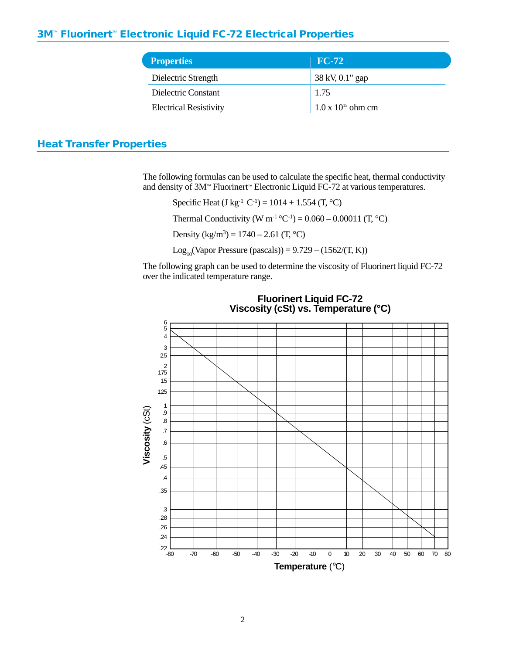## **3M**™ **Fluorinert**™ **Electronic Liquid FC-72 Electrical Properties**

| <b>Properties</b>             | $FC-72$                     |
|-------------------------------|-----------------------------|
| Dielectric Strength           | 38 kV, 0.1" gap             |
| Dielectric Constant           | 1.75                        |
| <b>Electrical Resistivity</b> | $1.0 \times 10^{15}$ ohm cm |

## **Heat Transfer Properties**

The following formulas can be used to calculate the specific heat, thermal conductivity and density of 3M™ Fluorinert™ Electronic Liquid FC-72 at various temperatures.

Specific Heat (J kg<sup>-1</sup> C<sup>-1</sup>) = 1014 + 1.554 (T, <sup>o</sup>C)

Thermal Conductivity (W m<sup>-1</sup> °C<sup>-1</sup>) =  $0.060 - 0.00011$  (T, °C)

Density  $(kg/m^3) = 1740 - 2.61$  (T, °C)

Log<sub>10</sub>(Vapor Pressure (pascals)) =  $9.729 - (1562/(T, K))$ 

The following graph can be used to determine the viscosity of Fluorinert liquid FC-72 over the indicated temperature range.



**Fluorinert Liquid FC-72 Viscosity (cSt) vs. Temperature (°C)**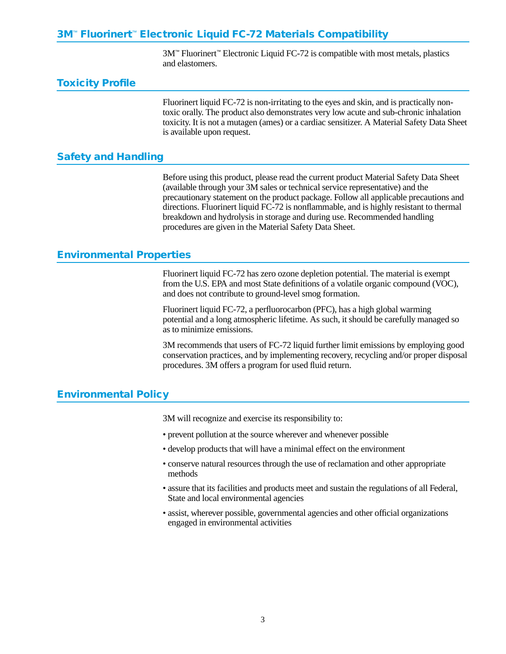## **3M**™ **Fluorinert**™ **Electronic Liquid FC-72 Materials Compatibility**

3M™ Fluorinert™ Electronic Liquid FC-72 is compatible with most metals, plastics and elastomers.

#### **Toxicity Profile**

Fluorinert liquid FC-72 is non-irritating to the eyes and skin, and is practically nontoxic orally. The product also demonstrates very low acute and sub-chronic inhalation toxicity. It is not a mutagen (ames) or a cardiac sensitizer. A Material Safety Data Sheet is available upon request.

#### **Safety and Handling**

Before using this product, please read the current product Material Safety Data Sheet (available through your 3M sales or technical service representative) and the precautionary statement on the product package. Follow all applicable precautions and directions. Fluorinert liquid FC-72 is nonflammable, and is highly resistant to thermal breakdown and hydrolysis in storage and during use. Recommended handling procedures are given in the Material Safety Data Sheet.

### **Environmental Properties**

Fluorinert liquid FC-72 has zero ozone depletion potential. The material is exempt from the U.S. EPA and most State definitions of a volatile organic compound (VOC), and does not contribute to ground-level smog formation.

Fluorinert liquid FC-72, a perfluorocarbon (PFC), has a high global warming potential and a long atmospheric lifetime. As such, it should be carefully managed so as to minimize emissions.

3M recommends that users of FC-72 liquid further limit emissions by employing good conservation practices, and by implementing recovery, recycling and/or proper disposal procedures. 3M offers a program for used fluid return.

## **Environmental Policy**

3M will recognize and exercise its responsibility to:

- prevent pollution at the source wherever and whenever possible
- develop products that will have a minimal effect on the environment
- conserve natural resources through the use of reclamation and other appropriate methods
- assure that its facilities and products meet and sustain the regulations of all Federal, State and local environmental agencies
- assist, wherever possible, governmental agencies and other official organizations engaged in environmental activities